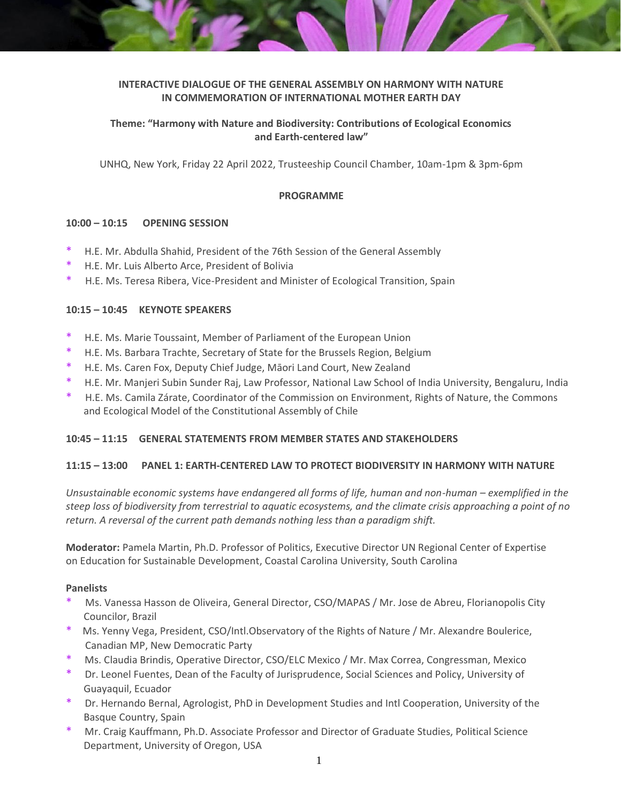# **INTERACTIVE DIALOGUE OF THE GENERAL ASSEMBLY ON HARMONY WITH NATURE IN COMMEMORATION OF INTERNATIONAL MOTHER EARTH DAY**

# **Theme: "Harmony with Nature and Biodiversity: Contributions of Ecological Economics and Earth-centered law"**

UNHQ, New York, Friday 22 April 2022, Trusteeship Council Chamber, 10am-1pm & 3pm-6pm

### **PROGRAMME**

### **10:00 – 10:15 OPENING SESSION**

- \* H.E. Mr. Abdulla Shahid, President of the 76th Session of the General Assembly
- H.E. Mr. Luis Alberto Arce, President of Bolivia
- H.E. Ms. Teresa Ribera, Vice-President and Minister of Ecological Transition, Spain

# **10:15 – 10:45 KEYNOTE SPEAKERS**

- H.E. Ms. Marie Toussaint, Member of Parliament of the European Union
- \* H.E. Ms. Barbara Trachte, Secretary of State for the Brussels Region, Belgium
- H.E. Ms. Caren Fox, Deputy Chief Judge, Māori Land Court, New Zealand
- \* H.E. Mr. Manjeri Subin Sunder Raj, Law Professor, National Law School of India University, Bengaluru, India
- H.E. Ms. Camila Zárate, Coordinator of the Commission on Environment, Rights of Nature, the Commons and Ecological Model of the Constitutional Assembly of Chile

#### **10:45 – 11:15 GENERAL STATEMENTS FROM MEMBER STATES AND STAKEHOLDERS**

#### **11:15 – 13:00 PANEL 1: EARTH-CENTERED LAW TO PROTECT BIODIVERSITY IN HARMONY WITH NATURE**

*Unsustainable economic systems have endangered all forms of life, human and non-human – exemplified in the steep loss of biodiversity from terrestrial to aquatic ecosystems, and the climate crisis approaching a point of no return. A reversal of the current path demands nothing less than a paradigm shift.*

**Moderator:** Pamela Martin, Ph.D. Professor of Politics, Executive Director UN Regional Center of Expertise on Education for Sustainable Development, Coastal Carolina University, South Carolina

#### **Panelists**

- Ms. Vanessa Hasson de Oliveira, General Director, CSO/MAPAS / Mr. Jose de Abreu, Florianopolis City Councilor, Brazil
- Ms. Yenny Vega, President, CSO/Intl.Observatory of the Rights of Nature / Mr. Alexandre Boulerice, Canadian MP, New Democratic Party
- Ms. Claudia Brindis, Operative Director, CSO/ELC Mexico / Mr. Max Correa, Congressman, Mexico
- Dr. Leonel Fuentes, Dean of the Faculty of Jurisprudence, Social Sciences and Policy, University of Guayaquil, Ecuador
- Dr. Hernando Bernal, Agrologist, PhD in Development Studies and Intl Cooperation, University of the Basque Country, Spain
- Mr. Craig Kauffmann, Ph.D. Associate Professor and Director of Graduate Studies, Political Science Department, University of Oregon, USA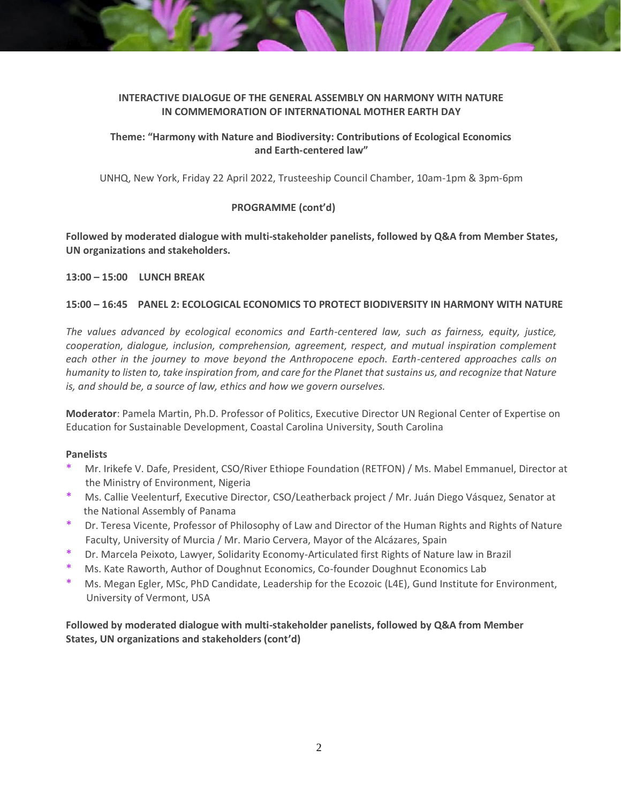# **INTERACTIVE DIALOGUE OF THE GENERAL ASSEMBLY ON HARMONY WITH NATURE IN COMMEMORATION OF INTERNATIONAL MOTHER EARTH DAY**

# **Theme: "Harmony with Nature and Biodiversity: Contributions of Ecological Economics and Earth-centered law"**

UNHQ, New York, Friday 22 April 2022, Trusteeship Council Chamber, 10am-1pm & 3pm-6pm

# **PROGRAMME (cont'd)**

**Followed by moderated dialogue with multi-stakeholder panelists, followed by Q&A from Member States, UN organizations and stakeholders.**

## **13:00 – 15:00 LUNCH BREAK**

# **15:00 – 16:45 PANEL 2: ECOLOGICAL ECONOMICS TO PROTECT BIODIVERSITY IN HARMONY WITH NATURE**

*The values advanced by ecological economics and Earth-centered law, such as fairness, equity, justice, cooperation, dialogue, inclusion, comprehension, agreement, respect, and mutual inspiration complement each other in the journey to move beyond the Anthropocene epoch. Earth-centered approaches calls on humanity to listen to, take inspiration from, and care for the Planet that sustains us, and recognize that Nature is, and should be, a source of law, ethics and how we govern ourselves.*

**Moderator**: Pamela Martin, Ph.D. Professor of Politics, Executive Director UN Regional Center of Expertise on Education for Sustainable Development, Coastal Carolina University, South Carolina

## **Panelists**

- Mr. Irikefe V. Dafe, President, CSO/River Ethiope Foundation (RETFON) / Ms. Mabel Emmanuel, Director at the Ministry of Environment, Nigeria
- Ms. Callie Veelenturf, Executive Director, CSO/Leatherback project / Mr. Juán Diego Vásquez, Senator at the National Assembly of Panama
- Dr. Teresa Vicente, Professor of Philosophy of Law and Director of the Human Rights and Rights of Nature Faculty, University of Murcia / Mr. Mario Cervera, Mayor of the Alcázares, Spain
- Dr. Marcela Peixoto, Lawyer, Solidarity Economy-Articulated first Rights of Nature law in Brazil
- Ms. Kate Raworth, Author of Doughnut Economics, Co-founder Doughnut Economics Lab
- Ms. Megan Egler, MSc, PhD Candidate, Leadership for the Ecozoic (L4E), Gund Institute for Environment, University of Vermont, USA

# **Followed by moderated dialogue with multi-stakeholder panelists, followed by Q&A from Member States, UN organizations and stakeholders (cont'd)**